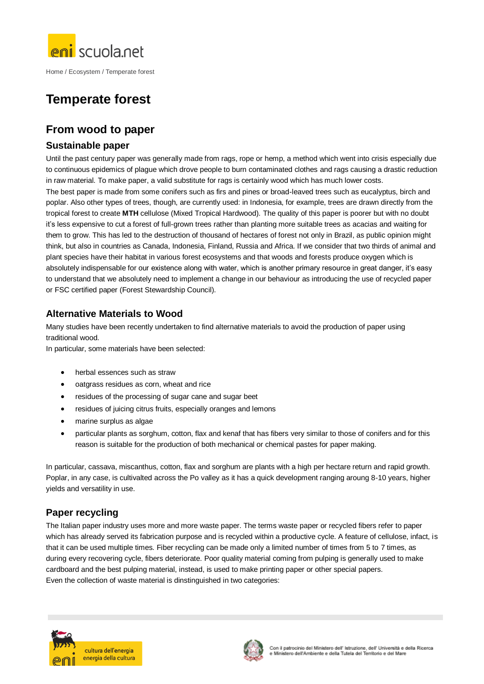

Home / Ecosystem / Temperate forest

# **Temperate forest**

## **From wood to paper**

#### **Sustainable paper**

Until the past century paper was generally made from rags, rope or hemp, a method which went into crisis especially due to continuous epidemics of plague which drove people to burn contaminated clothes and rags causing a drastic reduction in raw material. To make paper, a valid substitute for rags is certainly wood which has much lower costs. The best paper is made from some conifers such as firs and pines or broad-leaved trees such as eucalyptus, birch and poplar. Also other types of trees, though, are currently used: in Indonesia, for example, trees are drawn directly from the tropical forest to create **MTH** cellulose (Mixed Tropical Hardwood). The quality of this paper is poorer but with no doubt it's less expensive to cut a forest of full-grown trees rather than planting more suitable trees as acacias and waiting for them to grow. This has led to the destruction of thousand of hectares of forest not only in Brazil, as public opinion might think, but also in countries as Canada, Indonesia, Finland, Russia and Africa. If we consider that two thirds of animal and plant species have their habitat in various forest ecosystems and that woods and forests produce oxygen which is absolutely indispensable for our existence along with water, which is another primary resource in great danger, it's easy to understand that we absolutely need to implement a change in our behaviour as introducing the use of recycled paper or FSC certified paper (Forest Stewardship Council).

#### **Alternative Materials to Wood**

Many studies have been recently undertaken to find alternative materials to avoid the production of paper using traditional wood.

In particular, some materials have been selected:

- herbal essences such as straw
- oatgrass residues as corn, wheat and rice
- residues of the processing of sugar cane and sugar beet
- residues of juicing citrus fruits, especially oranges and lemons
- marine surplus as algae
- particular plants as sorghum, cotton, flax and kenaf that has fibers very similar to those of conifers and for this reason is suitable for the production of both mechanical or chemical pastes for paper making.

In particular, cassava, miscanthus, cotton, flax and sorghum are plants with a high per hectare return and rapid growth. Poplar, in any case, is cultivalted across the Po valley as it has a quick development ranging aroung 8-10 years, higher yields and versatility in use.

### **Paper recycling**

The Italian paper industry uses more and more waste paper. The terms waste paper or recycled fibers refer to paper which has already served its fabrication purpose and is recycled within a productive cycle. A feature of cellulose, infact, is that it can be used multiple times. Fiber recycling can be made only a limited number of times from 5 to 7 times, as during every recovering cycle, fibers deteriorate. Poor quality material coming from pulping is generally used to make cardboard and the best pulping material, instead, is used to make printing paper or other special papers. Even the collection of waste material is dinstinguished in two categories: